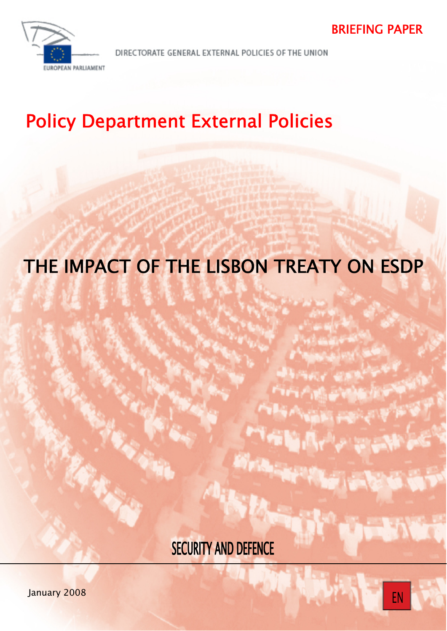



DIRECTORATE GENERAL EXTERNAL POLICIES OF THE UNION

# Policy Department External Policies

# THE IMPACT OF THE LISBON TREATY ON ESDP

**SECURITY AND DEFENCE**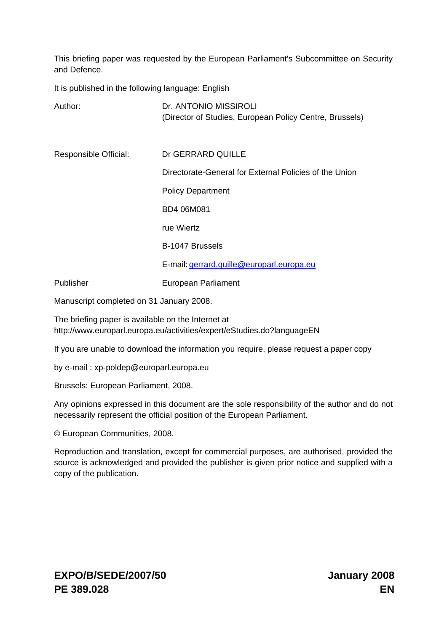This briefing paper was requested by the European Parliament's Subcommittee on Security and Defence.

It is published in the following language: English

| Author:               | Dr. ANTONIO MISSIROLI<br>(Director of Studies, European Policy Centre, Brussels) |
|-----------------------|----------------------------------------------------------------------------------|
| Responsible Official: | Dr GERRARD QUILLE                                                                |
|                       | Directorate-General for External Policies of the Union                           |
|                       | <b>Policy Department</b>                                                         |
|                       | BD4 06M081                                                                       |
|                       | rue Wiertz                                                                       |
|                       | B-1047 Brussels                                                                  |
|                       | E-mail: gerrard.quille@europarl.europa.eu                                        |
| Publisher             | European Parliament                                                              |

Manuscript completed on 31 January 2008.

The briefing paper is available on the Internet at <http://www.europarl.europa.eu/activities/expert/eStudies.do?languageEN>

If you are unable to download the information you require, please request a paper copy

by e-mail : [xp-poldep@europarl.europa.eu](mailto:xp-poldep@europarl.europa.eu) 

Brussels: European Parliament, 2008.

Any opinions expressed in this document are the sole responsibility of the author and do not necessarily represent the official position of the European Parliament.

© European Communities, 2008.

Reproduction and translation, except for commercial purposes, are authorised, provided the source is acknowledged and provided the publisher is given prior notice and supplied with a copy of the publication.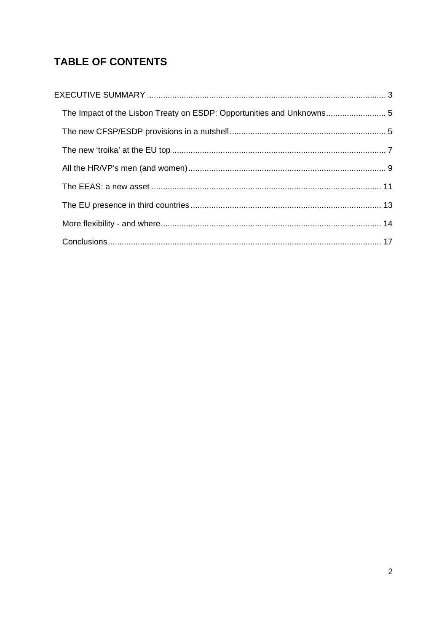# **TABLE OF CONTENTS**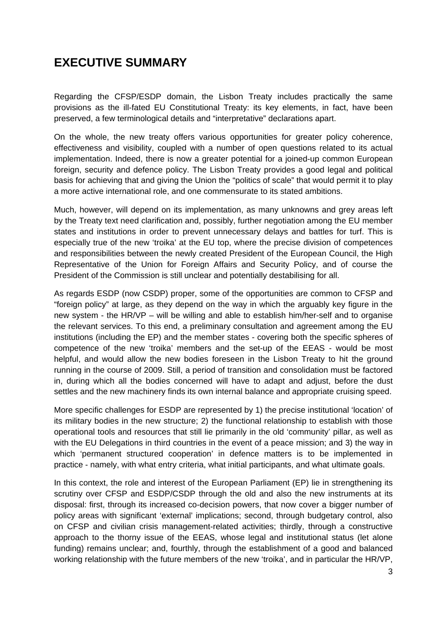# <span id="page-3-0"></span>**EXECUTIVE SUMMARY**

Regarding the CFSP/ESDP domain, the Lisbon Treaty includes practically the same provisions as the ill-fated EU Constitutional Treaty: its key elements, in fact, have been preserved, a few terminological details and "interpretative" declarations apart.

On the whole, the new treaty offers various opportunities for greater policy coherence, effectiveness and visibility, coupled with a number of open questions related to its actual implementation. Indeed, there is now a greater potential for a joined-up common European foreign, security and defence policy. The Lisbon Treaty provides a good legal and political basis for achieving that and giving the Union the "politics of scale" that would permit it to play a more active international role, and one commensurate to its stated ambitions.

Much, however, will depend on its implementation, as many unknowns and grey areas left by the Treaty text need clarification and, possibly, further negotiation among the EU member states and institutions in order to prevent unnecessary delays and battles for turf. This is especially true of the new 'troika' at the EU top, where the precise division of competences and responsibilities between the newly created President of the European Council, the High Representative of the Union for Foreign Affairs and Security Policy, and of course the President of the Commission is still unclear and potentially destabilising for all.

As regards ESDP (now CSDP) proper, some of the opportunities are common to CFSP and "foreign policy" at large, as they depend on the way in which the arguably key figure in the new system - the HR/VP – will be willing and able to establish him/her-self and to organise the relevant services. To this end, a preliminary consultation and agreement among the EU institutions (including the EP) and the member states - covering both the specific spheres of competence of the new 'troika' members and the set-up of the EEAS - would be most helpful, and would allow the new bodies foreseen in the Lisbon Treaty to hit the ground running in the course of 2009. Still, a period of transition and consolidation must be factored in, during which all the bodies concerned will have to adapt and adjust, before the dust settles and the new machinery finds its own internal balance and appropriate cruising speed.

More specific challenges for ESDP are represented by 1) the precise institutional 'location' of its military bodies in the new structure; 2) the functional relationship to establish with those operational tools and resources that still lie primarily in the old 'community' pillar, as well as with the EU Delegations in third countries in the event of a peace mission; and 3) the way in which 'permanent structured cooperation' in defence matters is to be implemented in practice - namely, with what entry criteria, what initial participants, and what ultimate goals.

In this context, the role and interest of the European Parliament (EP) lie in strengthening its scrutiny over CFSP and ESDP/CSDP through the old and also the new instruments at its disposal: first, through its increased co-decision powers, that now cover a bigger number of policy areas with significant 'external' implications; second, through budgetary control, also on CFSP and civilian crisis management-related activities; thirdly, through a constructive approach to the thorny issue of the EEAS, whose legal and institutional status (let alone funding) remains unclear; and, fourthly, through the establishment of a good and balanced working relationship with the future members of the new 'troika', and in particular the HR/VP,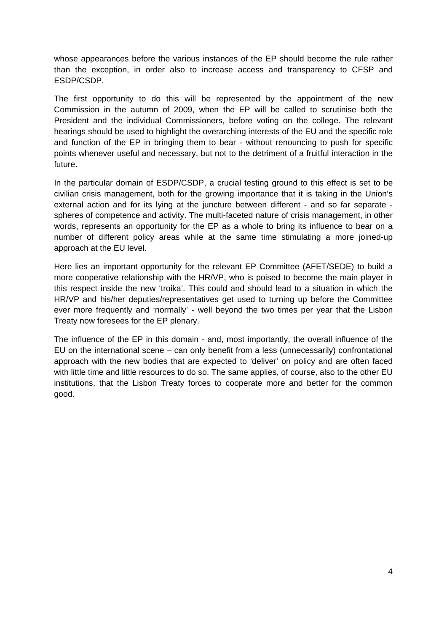whose appearances before the various instances of the EP should become the rule rather than the exception, in order also to increase access and transparency to CFSP and ESDP/CSDP.

The first opportunity to do this will be represented by the appointment of the new Commission in the autumn of 2009, when the EP will be called to scrutinise both the President and the individual Commissioners, before voting on the college. The relevant hearings should be used to highlight the overarching interests of the EU and the specific role and function of the EP in bringing them to bear - without renouncing to push for specific points whenever useful and necessary, but not to the detriment of a fruitful interaction in the future.

In the particular domain of ESDP/CSDP, a crucial testing ground to this effect is set to be civilian crisis management, both for the growing importance that it is taking in the Union's external action and for its lying at the juncture between different - and so far separate spheres of competence and activity. The multi-faceted nature of crisis management, in other words, represents an opportunity for the EP as a whole to bring its influence to bear on a number of different policy areas while at the same time stimulating a more joined-up approach at the EU level.

Here lies an important opportunity for the relevant EP Committee (AFET/SEDE) to build a more cooperative relationship with the HR/VP, who is poised to become the main player in this respect inside the new 'troika'. This could and should lead to a situation in which the HR/VP and his/her deputies/representatives get used to turning up before the Committee ever more frequently and 'normally' - well beyond the two times per year that the Lisbon Treaty now foresees for the EP plenary.

The influence of the EP in this domain - and, most importantly, the overall influence of the EU on the international scene – can only benefit from a less (unnecessarily) confrontational approach with the new bodies that are expected to 'deliver' on policy and are often faced with little time and little resources to do so. The same applies, of course, also to the other EU institutions, that the Lisbon Treaty forces to cooperate more and better for the common good.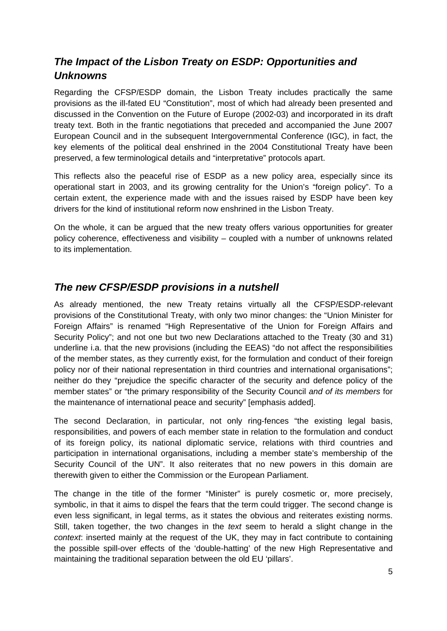## <span id="page-5-0"></span>*The Impact of the Lisbon Treaty on ESDP: Opportunities and Unknowns*

Regarding the CFSP/ESDP domain, the Lisbon Treaty includes practically the same provisions as the ill-fated EU "Constitution", most of which had already been presented and discussed in the Convention on the Future of Europe (2002-03) and incorporated in its draft treaty text. Both in the frantic negotiations that preceded and accompanied the June 2007 European Council and in the subsequent Intergovernmental Conference (IGC), in fact, the key elements of the political deal enshrined in the 2004 Constitutional Treaty have been preserved, a few terminological details and "interpretative" protocols apart.

This reflects also the peaceful rise of ESDP as a new policy area, especially since its operational start in 2003, and its growing centrality for the Union's "foreign policy". To a certain extent, the experience made with and the issues raised by ESDP have been key drivers for the kind of institutional reform now enshrined in the Lisbon Treaty.

On the whole, it can be argued that the new treaty offers various opportunities for greater policy coherence, effectiveness and visibility – coupled with a number of unknowns related to its implementation.

## *The new CFSP/ESDP provisions in a nutshell*

As already mentioned, the new Treaty retains virtually all the CFSP/ESDP-relevant provisions of the Constitutional Treaty, with only two minor changes: the "Union Minister for Foreign Affairs" is renamed "High Representative of the Union for Foreign Affairs and Security Policy"; and not one but two new Declarations attached to the Treaty (30 and 31) underline i.a. that the new provisions (including the EEAS) "do not affect the responsibilities of the member states, as they currently exist, for the formulation and conduct of their foreign policy nor of their national representation in third countries and international organisations"; neither do they "prejudice the specific character of the security and defence policy of the member states" or "the primary responsibility of the Security Council *and of its members* for the maintenance of international peace and security" [emphasis added].

The second Declaration, in particular, not only ring-fences "the existing legal basis, responsibilities, and powers of each member state in relation to the formulation and conduct of its foreign policy, its national diplomatic service, relations with third countries and participation in international organisations, including a member state's membership of the Security Council of the UN". It also reiterates that no new powers in this domain are therewith given to either the Commission or the European Parliament.

The change in the title of the former "Minister" is purely cosmetic or, more precisely, symbolic, in that it aims to dispel the fears that the term could trigger. The second change is even less significant, in legal terms, as it states the obvious and reiterates existing norms. Still, taken together, the two changes in the *text* seem to herald a slight change in the *context*: inserted mainly at the request of the UK, they may in fact contribute to containing the possible spill-over effects of the 'double-hatting' of the new High Representative and maintaining the traditional separation between the old EU 'pillars'.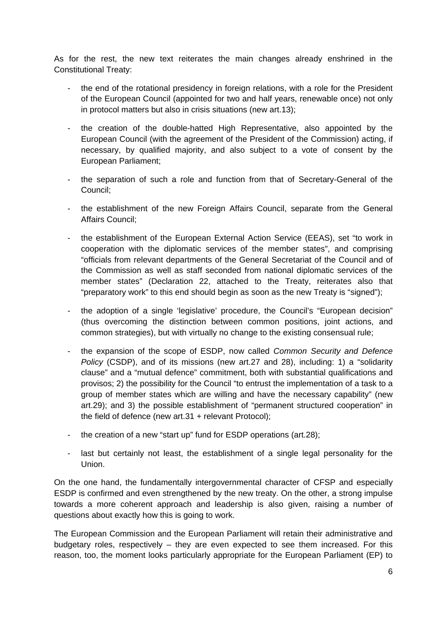As for the rest, the new text reiterates the main changes already enshrined in the Constitutional Treaty:

- the end of the rotational presidency in foreign relations, with a role for the President of the European Council (appointed for two and half years, renewable once) not only in protocol matters but also in crisis situations (new art.13);
- the creation of the double-hatted High Representative, also appointed by the European Council (with the agreement of the President of the Commission) acting, if necessary, by qualified majority, and also subject to a vote of consent by the European Parliament;
- the separation of such a role and function from that of Secretary-General of the Council;
- the establishment of the new Foreign Affairs Council, separate from the General Affairs Council;
- the establishment of the European External Action Service (EEAS), set "to work in cooperation with the diplomatic services of the member states", and comprising "officials from relevant departments of the General Secretariat of the Council and of the Commission as well as staff seconded from national diplomatic services of the member states" (Declaration 22, attached to the Treaty, reiterates also that "preparatory work" to this end should begin as soon as the new Treaty is "signed");
- the adoption of a single 'legislative' procedure, the Council's "European decision" (thus overcoming the distinction between common positions, joint actions, and common strategies), but with virtually no change to the existing consensual rule;
- the expansion of the scope of ESDP, now called *Common Security and Defence Policy* (CSDP), and of its missions (new art.27 and 28), including: 1) a "solidarity clause" and a "mutual defence" commitment, both with substantial qualifications and provisos; 2) the possibility for the Council "to entrust the implementation of a task to a group of member states which are willing and have the necessary capability" (new art.29); and 3) the possible establishment of "permanent structured cooperation" in the field of defence (new art.31 + relevant Protocol);
- the creation of a new "start up" fund for ESDP operations (art.28);
- last but certainly not least, the establishment of a single legal personality for the Union.

On the one hand, the fundamentally intergovernmental character of CFSP and especially ESDP is confirmed and even strengthened by the new treaty. On the other, a strong impulse towards a more coherent approach and leadership is also given, raising a number of questions about exactly how this is going to work.

The European Commission and the European Parliament will retain their administrative and budgetary roles, respectively – they are even expected to see them increased. For this reason, too, the moment looks particularly appropriate for the European Parliament (EP) to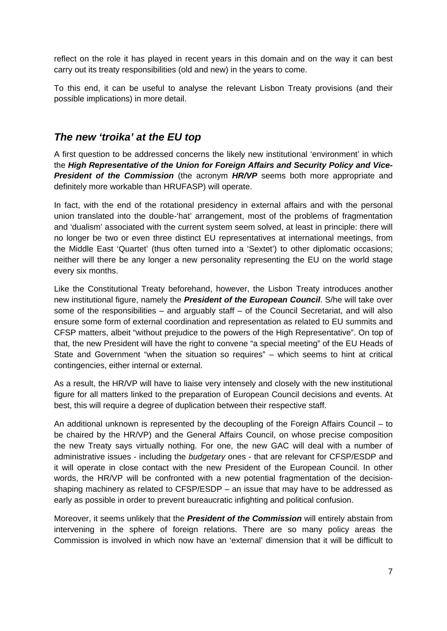<span id="page-7-0"></span>reflect on the role it has played in recent years in this domain and on the way it can best carry out its treaty responsibilities (old and new) in the years to come.

To this end, it can be useful to analyse the relevant Lisbon Treaty provisions (and their possible implications) in more detail.

#### *The new 'troika' at the EU top*

A first question to be addressed concerns the likely new institutional 'environment' in which the *High Representative of the Union for Foreign Affairs and Security Policy and Vice-***President of the Commission** (the acronym **HR/VP** seems both more appropriate and definitely more workable than HRUFASP) will operate.

In fact, with the end of the rotational presidency in external affairs and with the personal union translated into the double-'hat' arrangement, most of the problems of fragmentation and 'dualism' associated with the current system seem solved, at least in principle: there will no longer be two or even three distinct EU representatives at international meetings, from the Middle East 'Quartet' (thus often turned into a 'Sextet') to other diplomatic occasions; neither will there be any longer a new personality representing the EU on the world stage every six months.

Like the Constitutional Treaty beforehand, however, the Lisbon Treaty introduces another new institutional figure, namely the *President of the European Council*. S/he will take over some of the responsibilities – and arguably staff – of the Council Secretariat, and will also ensure some form of external coordination and representation as related to EU summits and CFSP matters, albeit "without prejudice to the powers of the High Representative". On top of that, the new President will have the right to convene "a special meeting" of the EU Heads of State and Government "when the situation so requires" – which seems to hint at critical contingencies, either internal or external.

As a result, the HR/VP will have to liaise very intensely and closely with the new institutional figure for all matters linked to the preparation of European Council decisions and events. At best, this will require a degree of duplication between their respective staff.

An additional unknown is represented by the decoupling of the Foreign Affairs Council – to be chaired by the HR/VP) and the General Affairs Council, on whose precise composition the new Treaty says virtually nothing. For one, the new GAC will deal with a number of administrative issues - including the *budgetary* ones - that are relevant for CFSP/ESDP and it will operate in close contact with the new President of the European Council. In other words, the HR/VP will be confronted with a new potential fragmentation of the decisionshaping machinery as related to CFSP/ESDP – an issue that may have to be addressed as early as possible in order to prevent bureaucratic infighting and political confusion.

Moreover, it seems unlikely that the *President of the Commission* will entirely abstain from intervening in the sphere of foreign relations. There are so many policy areas the Commission is involved in which now have an 'external' dimension that it will be difficult to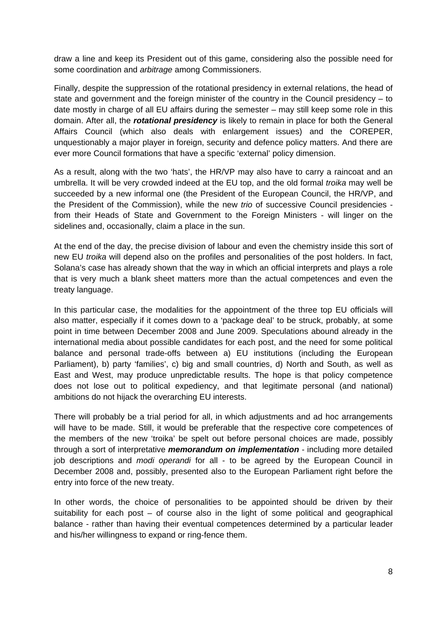draw a line and keep its President out of this game, considering also the possible need for some coordination and *arbitrage* among Commissioners.

Finally, despite the suppression of the rotational presidency in external relations, the head of state and government and the foreign minister of the country in the Council presidency – to date mostly in charge of all EU affairs during the semester – may still keep some role in this domain. After all, the *rotational presidency* is likely to remain in place for both the General Affairs Council (which also deals with enlargement issues) and the COREPER, unquestionably a major player in foreign, security and defence policy matters. And there are ever more Council formations that have a specific 'external' policy dimension.

As a result, along with the two 'hats', the HR/VP may also have to carry a raincoat and an umbrella. It will be very crowded indeed at the EU top, and the old formal *troika* may well be succeeded by a new informal one (the President of the European Council, the HR/VP, and the President of the Commission), while the new *trio* of successive Council presidencies from their Heads of State and Government to the Foreign Ministers - will linger on the sidelines and, occasionally, claim a place in the sun.

At the end of the day, the precise division of labour and even the chemistry inside this sort of new EU *troika* will depend also on the profiles and personalities of the post holders. In fact, Solana's case has already shown that the way in which an official interprets and plays a role that is very much a blank sheet matters more than the actual competences and even the treaty language.

In this particular case, the modalities for the appointment of the three top EU officials will also matter, especially if it comes down to a 'package deal' to be struck, probably, at some point in time between December 2008 and June 2009. Speculations abound already in the international media about possible candidates for each post, and the need for some political balance and personal trade-offs between a) EU institutions (including the European Parliament), b) party 'families', c) big and small countries, d) North and South, as well as East and West, may produce unpredictable results. The hope is that policy competence does not lose out to political expediency, and that legitimate personal (and national) ambitions do not hijack the overarching EU interests.

There will probably be a trial period for all, in which adjustments and ad hoc arrangements will have to be made. Still, it would be preferable that the respective core competences of the members of the new 'troika' be spelt out before personal choices are made, possibly through a sort of interpretative *memorandum on implementation* - including more detailed job descriptions and *modi operandi* for all - to be agreed by the European Council in December 2008 and, possibly, presented also to the European Parliament right before the entry into force of the new treaty.

In other words, the choice of personalities to be appointed should be driven by their suitability for each post – of course also in the light of some political and geographical balance - rather than having their eventual competences determined by a particular leader and his/her willingness to expand or ring-fence them.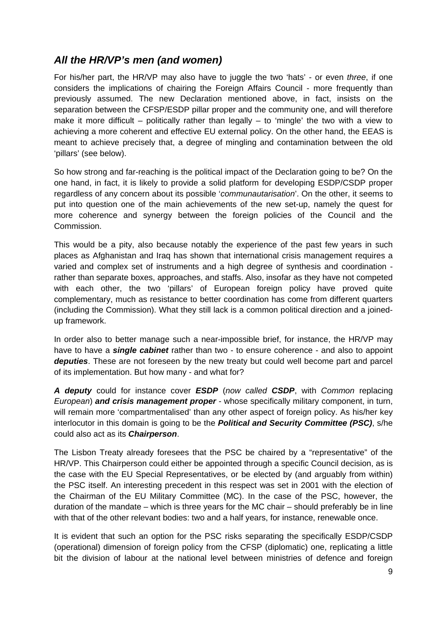## <span id="page-9-0"></span>*All the HR/VP's men (and women)*

For his/her part, the HR/VP may also have to juggle the two 'hats' - or even *three*, if one considers the implications of chairing the Foreign Affairs Council - more frequently than previously assumed. The new Declaration mentioned above, in fact, insists on the separation between the CFSP/ESDP pillar proper and the community one, and will therefore make it more difficult – politically rather than legally – to 'mingle' the two with a view to achieving a more coherent and effective EU external policy. On the other hand, the EEAS is meant to achieve precisely that, a degree of mingling and contamination between the old 'pillars' (see below).

So how strong and far-reaching is the political impact of the Declaration going to be? On the one hand, in fact, it is likely to provide a solid platform for developing ESDP/CSDP proper regardless of any concern about its possible '*communautarisation*'. On the other, it seems to put into question one of the main achievements of the new set-up, namely the quest for more coherence and synergy between the foreign policies of the Council and the Commission.

This would be a pity, also because notably the experience of the past few years in such places as Afghanistan and Iraq has shown that international crisis management requires a varied and complex set of instruments and a high degree of synthesis and coordination rather than separate boxes, approaches, and staffs. Also, insofar as they have not competed with each other, the two 'pillars' of European foreign policy have proved quite complementary, much as resistance to better coordination has come from different quarters (including the Commission). What they still lack is a common political direction and a joinedup framework.

In order also to better manage such a near-impossible brief, for instance, the HR/VP may have to have a *single cabinet* rather than two - to ensure coherence - and also to appoint *deputies*. These are not foreseen by the new treaty but could well become part and parcel of its implementation. But how many - and what for?

*A deputy* could for instance cover *ESDP* (*now called CSDP*, with *Common* replacing *European*) *and crisis management proper* - whose specifically military component, in turn, will remain more 'compartmentalised' than any other aspect of foreign policy. As his/her key interlocutor in this domain is going to be the *Political and Security Committee (PSC)*, s/he could also act as its *Chairperson*.

The Lisbon Treaty already foresees that the PSC be chaired by a "representative" of the HR/VP. This Chairperson could either be appointed through a specific Council decision, as is the case with the EU Special Representatives, or be elected by (and arguably from within) the PSC itself. An interesting precedent in this respect was set in 2001 with the election of the Chairman of the EU Military Committee (MC). In the case of the PSC, however, the duration of the mandate – which is three years for the MC chair – should preferably be in line with that of the other relevant bodies: two and a half years, for instance, renewable once.

It is evident that such an option for the PSC risks separating the specifically ESDP/CSDP (operational) dimension of foreign policy from the CFSP (diplomatic) one, replicating a little bit the division of labour at the national level between ministries of defence and foreign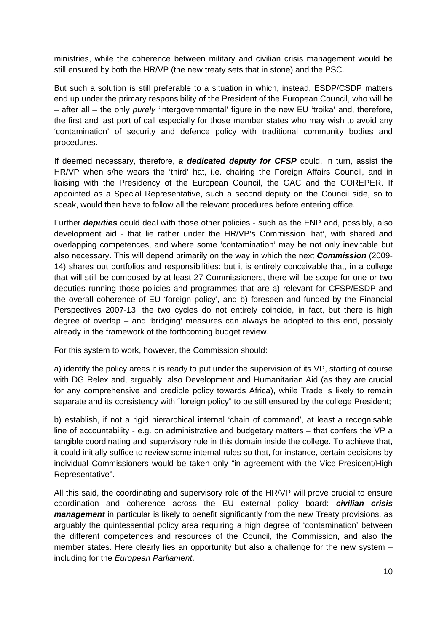ministries, while the coherence between military and civilian crisis management would be still ensured by both the HR/VP (the new treaty sets that in stone) and the PSC.

But such a solution is still preferable to a situation in which, instead, ESDP/CSDP matters end up under the primary responsibility of the President of the European Council, who will be – after all – the only *purely* 'intergovernmental' figure in the new EU 'troika' and, therefore, the first and last port of call especially for those member states who may wish to avoid any 'contamination' of security and defence policy with traditional community bodies and procedures.

If deemed necessary, therefore, *a dedicated deputy for CFSP* could, in turn, assist the HR/VP when s/he wears the 'third' hat, i.e. chairing the Foreign Affairs Council, and in liaising with the Presidency of the European Council, the GAC and the COREPER. If appointed as a Special Representative, such a second deputy on the Council side, so to speak, would then have to follow all the relevant procedures before entering office.

Further *deputies* could deal with those other policies - such as the ENP and, possibly, also development aid - that lie rather under the HR/VP's Commission 'hat', with shared and overlapping competences, and where some 'contamination' may be not only inevitable but also necessary. This will depend primarily on the way in which the next *Commission* (2009- 14) shares out portfolios and responsibilities: but it is entirely conceivable that, in a college that will still be composed by at least 27 Commissioners, there will be scope for one or two deputies running those policies and programmes that are a) relevant for CFSP/ESDP and the overall coherence of EU 'foreign policy', and b) foreseen and funded by the Financial Perspectives 2007-13: the two cycles do not entirely coincide, in fact, but there is high degree of overlap – and 'bridging' measures can always be adopted to this end, possibly already in the framework of the forthcoming budget review.

For this system to work, however, the Commission should:

a) identify the policy areas it is ready to put under the supervision of its VP, starting of course with DG Relex and, arguably, also Development and Humanitarian Aid (as they are crucial for any comprehensive and credible policy towards Africa), while Trade is likely to remain separate and its consistency with "foreign policy" to be still ensured by the college President;

b) establish, if not a rigid hierarchical internal 'chain of command', at least a recognisable line of accountability - e.g. on administrative and budgetary matters – that confers the VP a tangible coordinating and supervisory role in this domain inside the college. To achieve that, it could initially suffice to review some internal rules so that, for instance, certain decisions by individual Commissioners would be taken only "in agreement with the Vice-President/High Representative".

All this said, the coordinating and supervisory role of the HR/VP will prove crucial to ensure coordination and coherence across the EU external policy board: *civilian crisis management* in particular is likely to benefit significantly from the new Treaty provisions, as arguably the quintessential policy area requiring a high degree of 'contamination' between the different competences and resources of the Council, the Commission, and also the member states. Here clearly lies an opportunity but also a challenge for the new system – including for the *European Parliament*.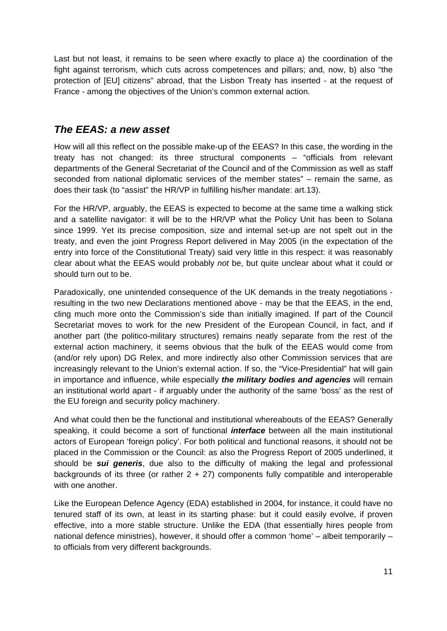<span id="page-11-0"></span>Last but not least, it remains to be seen where exactly to place a) the coordination of the fight against terrorism, which cuts across competences and pillars; and, now, b) also "the protection of [EU] citizens" abroad, that the Lisbon Treaty has inserted - at the request of France - among the objectives of the Union's common external action.

### *The EEAS: a new asset*

How will all this reflect on the possible make-up of the EEAS? In this case, the wording in the treaty has not changed: its three structural components – "officials from relevant departments of the General Secretariat of the Council and of the Commission as well as staff seconded from national diplomatic services of the member states" – remain the same, as does their task (to "assist" the HR/VP in fulfilling his/her mandate: art.13).

For the HR/VP, arguably, the EEAS is expected to become at the same time a walking stick and a satellite navigator: it will be to the HR/VP what the Policy Unit has been to Solana since 1999. Yet its precise composition, size and internal set-up are not spelt out in the treaty, and even the joint Progress Report delivered in May 2005 (in the expectation of the entry into force of the Constitutional Treaty) said very little in this respect: it was reasonably clear about what the EEAS would probably *not* be, but quite unclear about what it could or should turn out to be.

Paradoxically, one unintended consequence of the UK demands in the treaty negotiations resulting in the two new Declarations mentioned above - may be that the EEAS, in the end, cling much more onto the Commission's side than initially imagined. If part of the Council Secretariat moves to work for the new President of the European Council, in fact, and if another part (the politico-military structures) remains neatly separate from the rest of the external action machinery, it seems obvious that the bulk of the EEAS would come from (and/or rely upon) DG Relex, and more indirectly also other Commission services that are increasingly relevant to the Union's external action. If so, the "Vice-Presidential" hat will gain in importance and influence, while especially *the military bodies and agencies* will remain an institutional world apart - if arguably under the authority of the same 'boss' as the rest of the EU foreign and security policy machinery.

And what could then be the functional and institutional whereabouts of the EEAS? Generally speaking, it could become a sort of functional *interface* between all the main institutional actors of European 'foreign policy'. For both political and functional reasons, it should not be placed in the Commission or the Council: as also the Progress Report of 2005 underlined, it should be *sui generis*, due also to the difficulty of making the legal and professional backgrounds of its three (or rather  $2 + 27$ ) components fully compatible and interoperable with one another.

Like the European Defence Agency (EDA) established in 2004, for instance, it could have no tenured staff of its own, at least in its starting phase: but it could easily evolve, if proven effective, into a more stable structure. Unlike the EDA (that essentially hires people from national defence ministries), however, it should offer a common 'home' – albeit temporarily – to officials from very different backgrounds.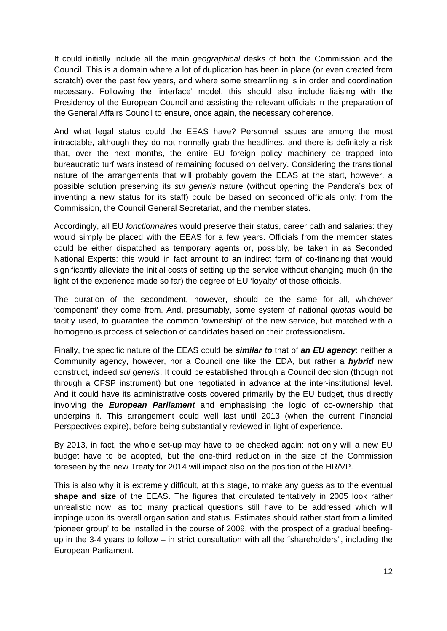It could initially include all the main *geographical* desks of both the Commission and the Council. This is a domain where a lot of duplication has been in place (or even created from scratch) over the past few years, and where some streamlining is in order and coordination necessary. Following the 'interface' model, this should also include liaising with the Presidency of the European Council and assisting the relevant officials in the preparation of the General Affairs Council to ensure, once again, the necessary coherence.

And what legal status could the EEAS have? Personnel issues are among the most intractable, although they do not normally grab the headlines, and there is definitely a risk that, over the next months, the entire EU foreign policy machinery be trapped into bureaucratic turf wars instead of remaining focused on delivery. Considering the transitional nature of the arrangements that will probably govern the EEAS at the start, however, a possible solution preserving its *sui generis* nature (without opening the Pandora's box of inventing a new status for its staff) could be based on seconded officials only: from the Commission, the Council General Secretariat, and the member states.

Accordingly, all EU *fonctionnaires* would preserve their status, career path and salaries: they would simply be placed with the EEAS for a few years. Officials from the member states could be either dispatched as temporary agents or, possibly, be taken in as Seconded National Experts: this would in fact amount to an indirect form of co-financing that would significantly alleviate the initial costs of setting up the service without changing much (in the light of the experience made so far) the degree of EU 'loyalty' of those officials.

The duration of the secondment, however, should be the same for all, whichever 'component' they come from. And, presumably, some system of national *quotas* would be tacitly used, to guarantee the common 'ownership' of the new service, but matched with a homogenous process of selection of candidates based on their professionalism**.** 

Finally, the specific nature of the EEAS could be *similar to* that of *an EU agency*: neither a Community agency, however, nor a Council one like the EDA, but rather a *hybrid* new construct, indeed *sui generis*. It could be established through a Council decision (though not through a CFSP instrument) but one negotiated in advance at the inter-institutional level. And it could have its administrative costs covered primarily by the EU budget, thus directly involving the *European Parliament* and emphasising the logic of co-ownership that underpins it. This arrangement could well last until 2013 (when the current Financial Perspectives expire), before being substantially reviewed in light of experience.

By 2013, in fact, the whole set-up may have to be checked again: not only will a new EU budget have to be adopted, but the one-third reduction in the size of the Commission foreseen by the new Treaty for 2014 will impact also on the position of the HR/VP.

This is also why it is extremely difficult, at this stage, to make any guess as to the eventual **shape and size** of the EEAS. The figures that circulated tentatively in 2005 look rather unrealistic now, as too many practical questions still have to be addressed which will impinge upon its overall organisation and status. Estimates should rather start from a limited 'pioneer group' to be installed in the course of 2009, with the prospect of a gradual beefingup in the 3-4 years to follow – in strict consultation with all the "shareholders", including the European Parliament.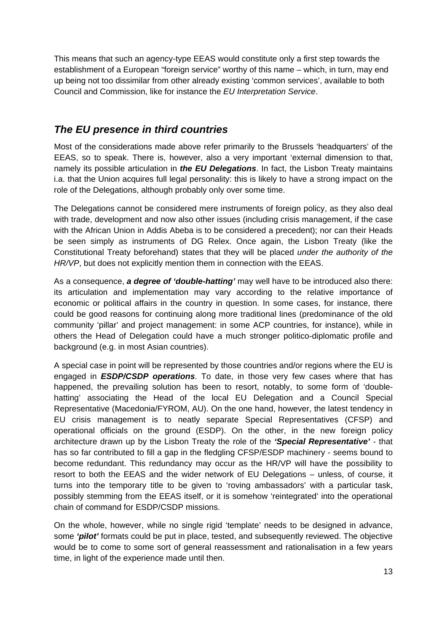<span id="page-13-0"></span>This means that such an agency-type EEAS would constitute only a first step towards the establishment of a European "foreign service" worthy of this name – which, in turn, may end up being not too dissimilar from other already existing 'common services', available to both Council and Commission, like for instance the *EU Interpretation Service*.

## *The EU presence in third countries*

Most of the considerations made above refer primarily to the Brussels 'headquarters' of the EEAS, so to speak. There is, however, also a very important 'external dimension to that, namely its possible articulation in *the EU Delegations*. In fact, the Lisbon Treaty maintains i.a. that the Union acquires full legal personality: this is likely to have a strong impact on the role of the Delegations, although probably only over some time.

The Delegations cannot be considered mere instruments of foreign policy, as they also deal with trade, development and now also other issues (including crisis management, if the case with the African Union in Addis Abeba is to be considered a precedent); nor can their Heads be seen simply as instruments of DG Relex. Once again, the Lisbon Treaty (like the Constitutional Treaty beforehand) states that they will be placed *under the authority of the HR/VP*, but does not explicitly mention them in connection with the EEAS.

As a consequence, *a degree of 'double-hatting'* may well have to be introduced also there: its articulation and implementation may vary according to the relative importance of economic or political affairs in the country in question. In some cases, for instance, there could be good reasons for continuing along more traditional lines (predominance of the old community 'pillar' and project management: in some ACP countries, for instance), while in others the Head of Delegation could have a much stronger politico-diplomatic profile and background (e.g. in most Asian countries).

A special case in point will be represented by those countries and/or regions where the EU is engaged in *ESDP/CSDP operations*. To date, in those very few cases where that has happened, the prevailing solution has been to resort, notably, to some form of 'doublehatting' associating the Head of the local EU Delegation and a Council Special Representative (Macedonia/FYROM, AU). On the one hand, however, the latest tendency in EU crisis management is to neatly separate Special Representatives (CFSP) and operational officials on the ground (ESDP). On the other, in the new foreign policy architecture drawn up by the Lisbon Treaty the role of the *'Special Representative'* - that has so far contributed to fill a gap in the fledgling CFSP/ESDP machinery - seems bound to become redundant. This redundancy may occur as the HR/VP will have the possibility to resort to both the EEAS and the wider network of EU Delegations – unless, of course, it turns into the temporary title to be given to 'roving ambassadors' with a particular task, possibly stemming from the EEAS itself, or it is somehow 'reintegrated' into the operational chain of command for ESDP/CSDP missions.

On the whole, however, while no single rigid 'template' needs to be designed in advance, some *'pilot'* formats could be put in place, tested, and subsequently reviewed. The objective would be to come to some sort of general reassessment and rationalisation in a few years time, in light of the experience made until then.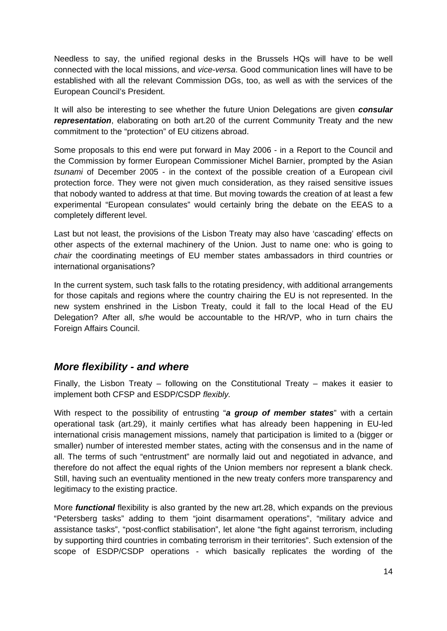<span id="page-14-0"></span>Needless to say, the unified regional desks in the Brussels HQs will have to be well connected with the local missions, and *vice-versa*. Good communication lines will have to be established with all the relevant Commission DGs, too, as well as with the services of the European Council's President.

It will also be interesting to see whether the future Union Delegations are given *consular* **representation**, elaborating on both art.20 of the current Community Treaty and the new commitment to the "protection" of EU citizens abroad.

Some proposals to this end were put forward in May 2006 - in a Report to the Council and the Commission by former European Commissioner Michel Barnier, prompted by the Asian *tsunami* of December 2005 - in the context of the possible creation of a European civil protection force. They were not given much consideration, as they raised sensitive issues that nobody wanted to address at that time. But moving towards the creation of at least a few experimental "European consulates" would certainly bring the debate on the EEAS to a completely different level.

Last but not least, the provisions of the Lisbon Treaty may also have 'cascading' effects on other aspects of the external machinery of the Union. Just to name one: who is going to *chair* the coordinating meetings of EU member states ambassadors in third countries or international organisations?

In the current system, such task falls to the rotating presidency, with additional arrangements for those capitals and regions where the country chairing the EU is not represented. In the new system enshrined in the Lisbon Treaty, could it fall to the local Head of the EU Delegation? After all, s/he would be accountable to the HR/VP, who in turn chairs the Foreign Affairs Council.

#### *More flexibility - and where*

Finally, the Lisbon Treaty – following on the Constitutional Treaty – makes it easier to implement both CFSP and ESDP/CSDP *flexibly.*

With respect to the possibility of entrusting "*a group of member states*" with a certain operational task (art.29), it mainly certifies what has already been happening in EU-led international crisis management missions, namely that participation is limited to a (bigger or smaller) number of interested member states, acting with the consensus and in the name of all. The terms of such "entrustment" are normally laid out and negotiated in advance, and therefore do not affect the equal rights of the Union members nor represent a blank check. Still, having such an eventuality mentioned in the new treaty confers more transparency and legitimacy to the existing practice.

More *functional* flexibility is also granted by the new art.28, which expands on the previous "Petersberg tasks" adding to them "joint disarmament operations", "military advice and assistance tasks", "post-conflict stabilisation", let alone "the fight against terrorism, including by supporting third countries in combating terrorism in their territories". Such extension of the scope of ESDP/CSDP operations - which basically replicates the wording of the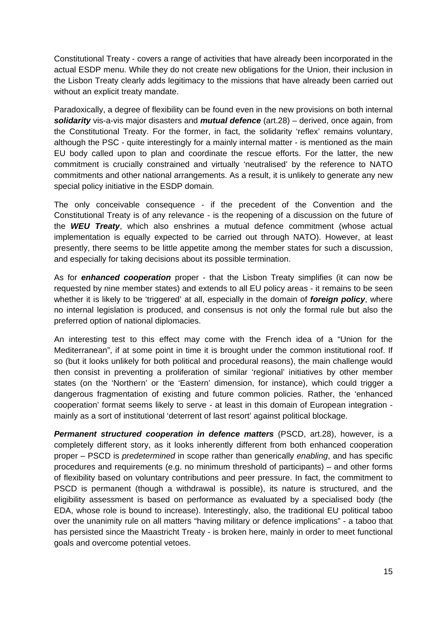Constitutional Treaty - covers a range of activities that have already been incorporated in the actual ESDP menu. While they do not create new obligations for the Union, their inclusion in the Lisbon Treaty clearly adds legitimacy to the missions that have already been carried out without an explicit treaty mandate.

Paradoxically, a degree of flexibility can be found even in the new provisions on both internal *solidarity* vis-a-vis major disasters and *mutual defence* (art.28) – derived, once again, from the Constitutional Treaty. For the former, in fact, the solidarity 'reflex' remains voluntary, although the PSC - quite interestingly for a mainly internal matter - is mentioned as the main EU body called upon to plan and coordinate the rescue efforts. For the latter, the new commitment is crucially constrained and virtually 'neutralised' by the reference to NATO commitments and other national arrangements. As a result, it is unlikely to generate any new special policy initiative in the ESDP domain.

The only conceivable consequence - if the precedent of the Convention and the Constitutional Treaty is of any relevance - is the reopening of a discussion on the future of the *WEU Treaty*, which also enshrines a mutual defence commitment (whose actual implementation is equally expected to be carried out through NATO). However, at least presently, there seems to be little appetite among the member states for such a discussion, and especially for taking decisions about its possible termination.

As for *enhanced cooperation* proper - that the Lisbon Treaty simplifies (it can now be requested by nine member states) and extends to all EU policy areas - it remains to be seen whether it is likely to be 'triggered' at all, especially in the domain of *foreign policy*, where no internal legislation is produced, and consensus is not only the formal rule but also the preferred option of national diplomacies.

An interesting test to this effect may come with the French idea of a "Union for the Mediterranean", if at some point in time it is brought under the common institutional roof. If so (but it looks unlikely for both political and procedural reasons), the main challenge would then consist in preventing a proliferation of similar 'regional' initiatives by other member states (on the 'Northern' or the 'Eastern' dimension, for instance), which could trigger a dangerous fragmentation of existing and future common policies. Rather, the 'enhanced cooperation' format seems likely to serve - at least in this domain of European integration mainly as a sort of institutional 'deterrent of last resort' against political blockage.

*Permanent structured cooperation in defence matters* (PSCD, art.28), however, is a completely different story, as it looks inherently different from both enhanced cooperation proper – PSCD is *predetermined* in scope rather than generically *enabling*, and has specific procedures and requirements (e.g. no minimum threshold of participants) – and other forms of flexibility based on voluntary contributions and peer pressure. In fact, the commitment to PSCD is permanent (though a withdrawal is possible), its nature is structured, and the eligibility assessment is based on performance as evaluated by a specialised body (the EDA, whose role is bound to increase). Interestingly, also, the traditional EU political taboo over the unanimity rule on all matters "having military or defence implications" - a taboo that has persisted since the Maastricht Treaty - is broken here, mainly in order to meet functional goals and overcome potential vetoes.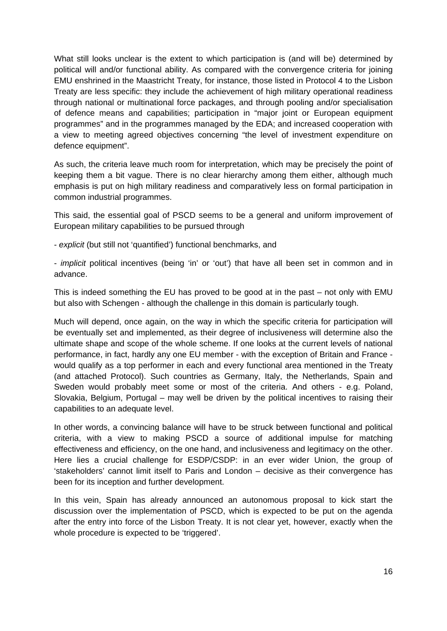What still looks unclear is the extent to which participation is (and will be) determined by political will and/or functional ability. As compared with the convergence criteria for joining EMU enshrined in the Maastricht Treaty, for instance, those listed in Protocol 4 to the Lisbon Treaty are less specific: they include the achievement of high military operational readiness through national or multinational force packages, and through pooling and/or specialisation of defence means and capabilities; participation in "major joint or European equipment programmes" and in the programmes managed by the EDA; and increased cooperation with a view to meeting agreed objectives concerning "the level of investment expenditure on defence equipment".

As such, the criteria leave much room for interpretation, which may be precisely the point of keeping them a bit vague. There is no clear hierarchy among them either, although much emphasis is put on high military readiness and comparatively less on formal participation in common industrial programmes.

This said, the essential goal of PSCD seems to be a general and uniform improvement of European military capabilities to be pursued through

- *explicit* (but still not 'quantified') functional benchmarks, and

- *implicit* political incentives (being 'in' or 'out') that have all been set in common and in advance.

This is indeed something the EU has proved to be good at in the past – not only with EMU but also with Schengen - although the challenge in this domain is particularly tough.

Much will depend, once again, on the way in which the specific criteria for participation will be eventually set and implemented, as their degree of inclusiveness will determine also the ultimate shape and scope of the whole scheme. If one looks at the current levels of national performance, in fact, hardly any one EU member - with the exception of Britain and France would qualify as a top performer in each and every functional area mentioned in the Treaty (and attached Protocol). Such countries as Germany, Italy, the Netherlands, Spain and Sweden would probably meet some or most of the criteria. And others - e.g. Poland, Slovakia, Belgium, Portugal – may well be driven by the political incentives to raising their capabilities to an adequate level.

In other words, a convincing balance will have to be struck between functional and political criteria, with a view to making PSCD a source of additional impulse for matching effectiveness and efficiency, on the one hand, and inclusiveness and legitimacy on the other. Here lies a crucial challenge for ESDP/CSDP: in an ever wider Union, the group of 'stakeholders' cannot limit itself to Paris and London – decisive as their convergence has been for its inception and further development.

In this vein, Spain has already announced an autonomous proposal to kick start the discussion over the implementation of PSCD, which is expected to be put on the agenda after the entry into force of the Lisbon Treaty. It is not clear yet, however, exactly when the whole procedure is expected to be 'triggered'.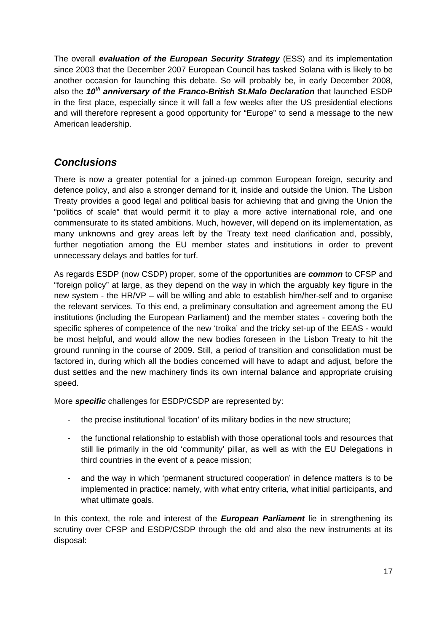<span id="page-17-0"></span>The overall *evaluation of the European Security Strategy* (ESS) and its implementation since 2003 that the December 2007 European Council has tasked Solana with is likely to be another occasion for launching this debate. So will probably be, in early December 2008, also the *10th anniversary of the Franco-British St.Malo Declaration* that launched ESDP in the first place, especially since it will fall a few weeks after the US presidential elections and will therefore represent a good opportunity for "Europe" to send a message to the new American leadership.

#### *Conclusions*

There is now a greater potential for a joined-up common European foreign, security and defence policy, and also a stronger demand for it, inside and outside the Union. The Lisbon Treaty provides a good legal and political basis for achieving that and giving the Union the "politics of scale" that would permit it to play a more active international role, and one commensurate to its stated ambitions. Much, however, will depend on its implementation, as many unknowns and grey areas left by the Treaty text need clarification and, possibly, further negotiation among the EU member states and institutions in order to prevent unnecessary delays and battles for turf.

As regards ESDP (now CSDP) proper, some of the opportunities are *common* to CFSP and "foreign policy" at large, as they depend on the way in which the arguably key figure in the new system - the HR/VP – will be willing and able to establish him/her-self and to organise the relevant services. To this end, a preliminary consultation and agreement among the EU institutions (including the European Parliament) and the member states - covering both the specific spheres of competence of the new 'troika' and the tricky set-up of the EEAS - would be most helpful, and would allow the new bodies foreseen in the Lisbon Treaty to hit the ground running in the course of 2009. Still, a period of transition and consolidation must be factored in, during which all the bodies concerned will have to adapt and adjust, before the dust settles and the new machinery finds its own internal balance and appropriate cruising speed.

More *specific* challenges for ESDP/CSDP are represented by:

- the precise institutional 'location' of its military bodies in the new structure;
- the functional relationship to establish with those operational tools and resources that still lie primarily in the old 'community' pillar, as well as with the EU Delegations in third countries in the event of a peace mission;
- and the way in which 'permanent structured cooperation' in defence matters is to be implemented in practice: namely, with what entry criteria, what initial participants, and what ultimate goals.

In this context, the role and interest of the *European Parliament* lie in strengthening its scrutiny over CFSP and ESDP/CSDP through the old and also the new instruments at its disposal: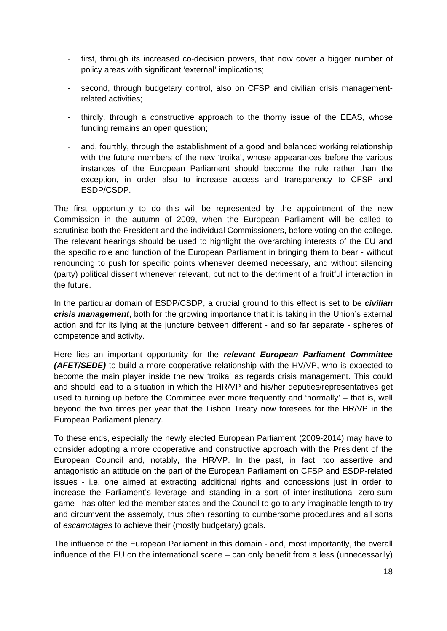- first, through its increased co-decision powers, that now cover a bigger number of policy areas with significant 'external' implications;
- second, through budgetary control, also on CFSP and civilian crisis managementrelated activities;
- thirdly, through a constructive approach to the thorny issue of the EEAS, whose funding remains an open question;
- and, fourthly, through the establishment of a good and balanced working relationship with the future members of the new 'troika', whose appearances before the various instances of the European Parliament should become the rule rather than the exception, in order also to increase access and transparency to CFSP and ESDP/CSDP.

The first opportunity to do this will be represented by the appointment of the new Commission in the autumn of 2009, when the European Parliament will be called to scrutinise both the President and the individual Commissioners, before voting on the college. The relevant hearings should be used to highlight the overarching interests of the EU and the specific role and function of the European Parliament in bringing them to bear - without renouncing to push for specific points whenever deemed necessary, and without silencing (party) political dissent whenever relevant, but not to the detriment of a fruitful interaction in the future.

In the particular domain of ESDP/CSDP, a crucial ground to this effect is set to be *civilian crisis management*, both for the growing importance that it is taking in the Union's external action and for its lying at the juncture between different - and so far separate - spheres of competence and activity.

Here lies an important opportunity for the *relevant European Parliament Committee (AFET/SEDE)* to build a more cooperative relationship with the HV/VP, who is expected to become the main player inside the new 'troika' as regards crisis management. This could and should lead to a situation in which the HR/VP and his/her deputies/representatives get used to turning up before the Committee ever more frequently and 'normally' – that is, well beyond the two times per year that the Lisbon Treaty now foresees for the HR/VP in the European Parliament plenary.

To these ends, especially the newly elected European Parliament (2009-2014) may have to consider adopting a more cooperative and constructive approach with the President of the European Council and, notably, the HR/VP. In the past, in fact, too assertive and antagonistic an attitude on the part of the European Parliament on CFSP and ESDP-related issues - i.e. one aimed at extracting additional rights and concessions just in order to increase the Parliament's leverage and standing in a sort of inter-institutional zero-sum game - has often led the member states and the Council to go to any imaginable length to try and circumvent the assembly, thus often resorting to cumbersome procedures and all sorts of *escamotages* to achieve their (mostly budgetary) goals.

The influence of the European Parliament in this domain - and, most importantly, the overall influence of the EU on the international scene – can only benefit from a less (unnecessarily)